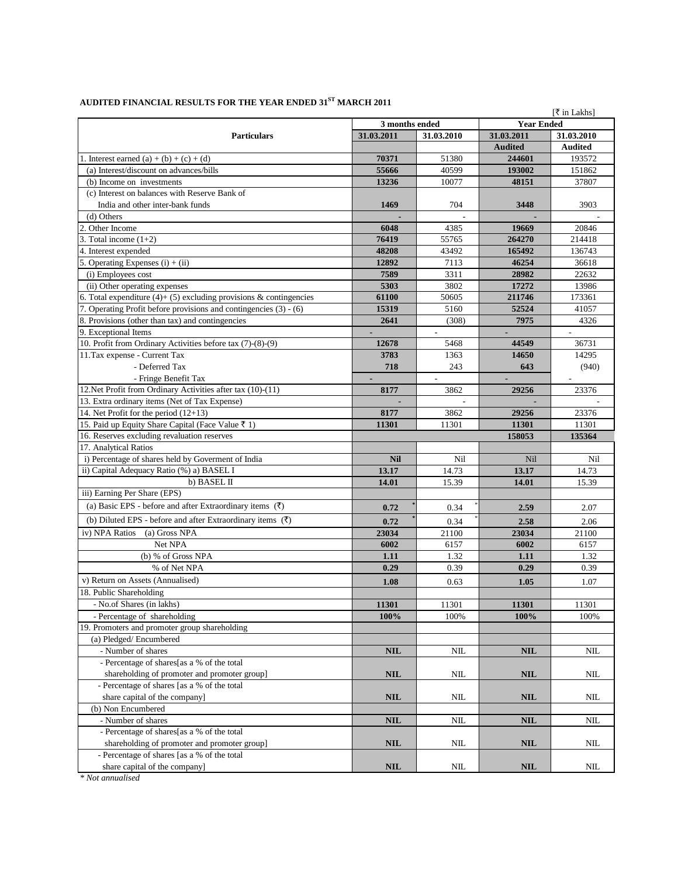|                                                                       |                          |       |                   | [₹ in Lakhs]   |
|-----------------------------------------------------------------------|--------------------------|-------|-------------------|----------------|
| <b>Particulars</b>                                                    | 3 months ended           |       | <b>Year Ended</b> |                |
|                                                                       | 31.03.2011<br>31.03.2010 |       | 31.03.2011        | 31.03.2010     |
|                                                                       |                          |       | <b>Audited</b>    | <b>Audited</b> |
| 1. Interest earned (a) + (b) + (c) + (d)                              | 70371                    | 51380 | 244601            | 193572         |
| (a) Interest/discount on advances/bills                               | 55666                    | 40599 | 193002            | 151862         |
| (b) Income on investments                                             | 13236                    | 10077 | 48151             | 37807          |
| (c) Interest on balances with Reserve Bank of                         |                          |       |                   |                |
| India and other inter-bank funds                                      | 1469                     | 704   | 3448              | 3903           |
| (d) Others                                                            |                          |       |                   |                |
| 2. Other Income                                                       | 6048                     | 4385  | 19669             | 20846          |
| 3. Total income $(1+2)$                                               | 76419                    | 55765 | 264270            | 214418         |
| 4. Interest expended                                                  | 48208                    | 43492 | 165492            | 136743         |
| 5. Operating Expenses $(i) + (ii)$                                    | 12892                    | 7113  | 46254             | 36618          |
| (i) Employees cost                                                    | 7589                     | 3311  | 28982             | 22632          |
| (ii) Other operating expenses                                         | 5303                     | 3802  | 17272             | 13986          |
| 6. Total expenditure $(4)$ + (5) excluding provisions & contingencies | 61100                    | 50605 | 211746            | 173361         |
| 7. Operating Profit before provisions and contingencies (3) - (6)     | 15319                    | 5160  | 52524             | 41057          |
| 8. Provisions (other than tax) and contingencies                      | 2641                     | (308) | 7975              | 4326           |
|                                                                       |                          |       |                   |                |
| 9. Exceptional Items                                                  |                          |       |                   |                |
| 10. Profit from Ordinary Activities before tax (7)-(8)-(9)            | 12678                    | 5468  | 44549             | 36731          |
| 11. Tax expense - Current Tax                                         | 3783                     | 1363  | 14650             | 14295          |
| - Deferred Tax                                                        | 718                      | 243   | 643               | (940)          |
| - Fringe Benefit Tax                                                  |                          |       |                   |                |
| 12. Net Profit from Ordinary Activities after tax (10)-(11)           | 8177                     | 3862  | 29256             | 23376          |
| 13. Extra ordinary items (Net of Tax Expense)                         |                          |       |                   |                |
| 14. Net Profit for the period (12+13)                                 | 8177                     | 3862  | 29256             | 23376          |
| 15. Paid up Equity Share Capital (Face Value ₹ 1)                     | 11301                    | 11301 | 11301             | 11301          |
| 16. Reserves excluding revaluation reserves                           |                          |       | 158053            | 135364         |
| 17. Analytical Ratios                                                 |                          |       |                   |                |
| i) Percentage of shares held by Governent of India                    | <b>Nil</b>               | Nil   | Nil               | Nil            |
| ii) Capital Adequacy Ratio (%) a) BASEL I                             | 13.17                    | 14.73 | 13.17             | 14.73          |
| b) BASEL II                                                           | 14.01                    | 15.39 | 14.01             | 15.39          |
| iii) Earning Per Share (EPS)                                          |                          |       |                   |                |
| (a) Basic EPS - before and after Extraordinary items $(\bar{\tau})$   | 0.72                     | 0.34  | 2.59              | 2.07           |
| (b) Diluted EPS - before and after Extraordinary items $(\bar{\tau})$ | 0.72                     | 0.34  | 2.58              | 2.06           |
| iv) NPA Ratios (a) Gross NPA                                          | 23034                    | 21100 | 23034             | 21100          |
| Net NPA                                                               | 6002                     | 6157  | 6002              | 6157           |
| (b) % of Gross NPA                                                    | 1.11                     | 1.32  | 1.11              | 1.32           |
| % of Net NPA                                                          | 0.29                     | 0.39  | 0.29              | 0.39           |
| v) Return on Assets (Annualised)                                      |                          |       |                   |                |
|                                                                       | 1.08                     | 0.63  | 1.05              | 1.07           |
| 18. Public Shareholding                                               |                          |       |                   |                |
| - No.of Shares (in lakhs)                                             | 11301                    | 11301 | 11301             | 11301          |
| - Percentage of shareholding                                          | 100%                     | 100%  | 100%              | 100%           |
| 19. Promoters and promoter group shareholding                         |                          |       |                   |                |
| (a) Pledged/Encumbered                                                |                          |       |                   |                |
| - Number of shares                                                    | <b>NIL</b>               | NIL   | NIL               | NΙL            |
| - Percentage of shares[as a % of the total                            |                          |       |                   |                |
| shareholding of promoter and promoter group]                          | <b>NIL</b>               | NIL   | NIL               | NIL            |
| - Percentage of shares [as a % of the total                           |                          |       |                   |                |
| share capital of the company                                          | <b>NIL</b>               | NIL   | NIL               | NΙL            |
| (b) Non Encumbered                                                    |                          |       |                   |                |
| - Number of shares                                                    | <b>NIL</b>               | NIL   | <b>NIL</b>        | NΙL            |
| - Percentage of shares[as a % of the total                            |                          |       |                   |                |
| shareholding of promoter and promoter group]                          | <b>NIL</b>               | NIL   | NIL               | NΙL            |
| - Percentage of shares [as a % of the total                           |                          |       |                   |                |
| share capital of the company]                                         | <b>NIL</b>               | NIL   | NIL               | NIL            |

## AUDITED FINANCIAL RESULTS FOR THE YEAR ENDED  $\rm 31^{ST}$  MARCH 2011

*\* Not annualised*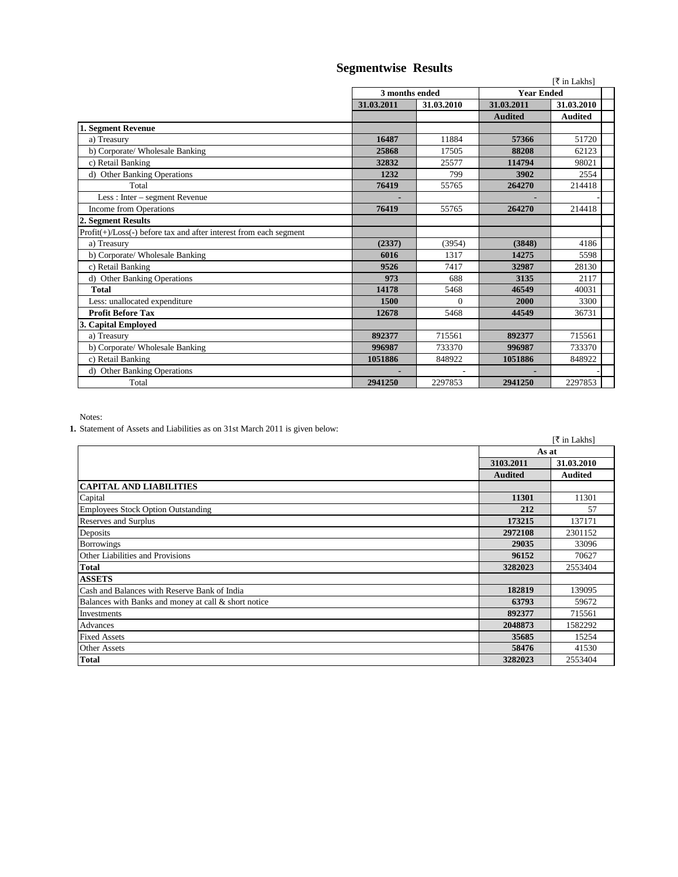| [₹ in Lakhs]   |            |                   |                |
|----------------|------------|-------------------|----------------|
| 3 months ended |            | <b>Year Ended</b> |                |
| 31.03.2011     | 31.03.2010 | 31.03.2011        | 31.03.2010     |
|                |            | <b>Audited</b>    | <b>Audited</b> |
|                |            |                   |                |
| 16487          | 11884      | 57366             | 51720          |
| 25868          | 17505      | 88208             | 62123          |
| 32832          | 25577      | 114794            | 98021          |
| 1232           | 799        | 3902              | 2554           |
| 76419          | 55765      | 264270            | 214418         |
|                |            |                   |                |
| 76419          | 55765      | 264270            | 214418         |
|                |            |                   |                |
|                |            |                   |                |
| (2337)         | (3954)     | (3848)            | 4186           |
| 6016           | 1317       | 14275             | 5598           |
| 9526           | 7417       | 32987             | 28130          |
| 973            | 688        | 3135              | 2117           |
| 14178          | 5468       | 46549             | 40031          |
| 1500           | $\Omega$   | 2000              | 3300           |
| 12678          | 5468       | 44549             | 36731          |
|                |            |                   |                |
| 892377         | 715561     | 892377            | 715561         |
| 996987         | 733370     | 996987            | 733370         |
| 1051886        | 848922     | 1051886           | 848922         |
|                |            |                   |                |
| 2941250        | 2297853    | 2941250           | 2297853        |
|                |            |                   |                |

 **Segmentwise Results**

Notes:

**1.** Statement of Assets and Liabilities as on 31st March 2011 is given below:

|                                                      |                | [₹ in Lakhs]   |
|------------------------------------------------------|----------------|----------------|
|                                                      | As at          |                |
|                                                      | 3103.2011      | 31.03.2010     |
|                                                      | <b>Audited</b> | <b>Audited</b> |
| <b>CAPITAL AND LIABILITIES</b>                       |                |                |
| Capital                                              | 11301          | 11301          |
| Employees Stock Option Outstanding                   | 212            | 57             |
| Reserves and Surplus                                 | 173215         | 137171         |
| Deposits                                             | 2972108        | 2301152        |
| <b>Borrowings</b>                                    | 29035          | 33096          |
| Other Liabilities and Provisions                     | 96152          | 70627          |
| <b>Total</b>                                         | 3282023        | 2553404        |
| <b>ASSETS</b>                                        |                |                |
| Cash and Balances with Reserve Bank of India         | 182819         | 139095         |
| Balances with Banks and money at call & short notice | 63793          | 59672          |
| Investments                                          | 892377         | 715561         |
| Advances                                             | 2048873        | 1582292        |
| <b>Fixed Assets</b>                                  | 35685          | 15254          |
| <b>Other Assets</b>                                  | 58476          | 41530          |
| <b>Total</b>                                         | 3282023        | 2553404        |